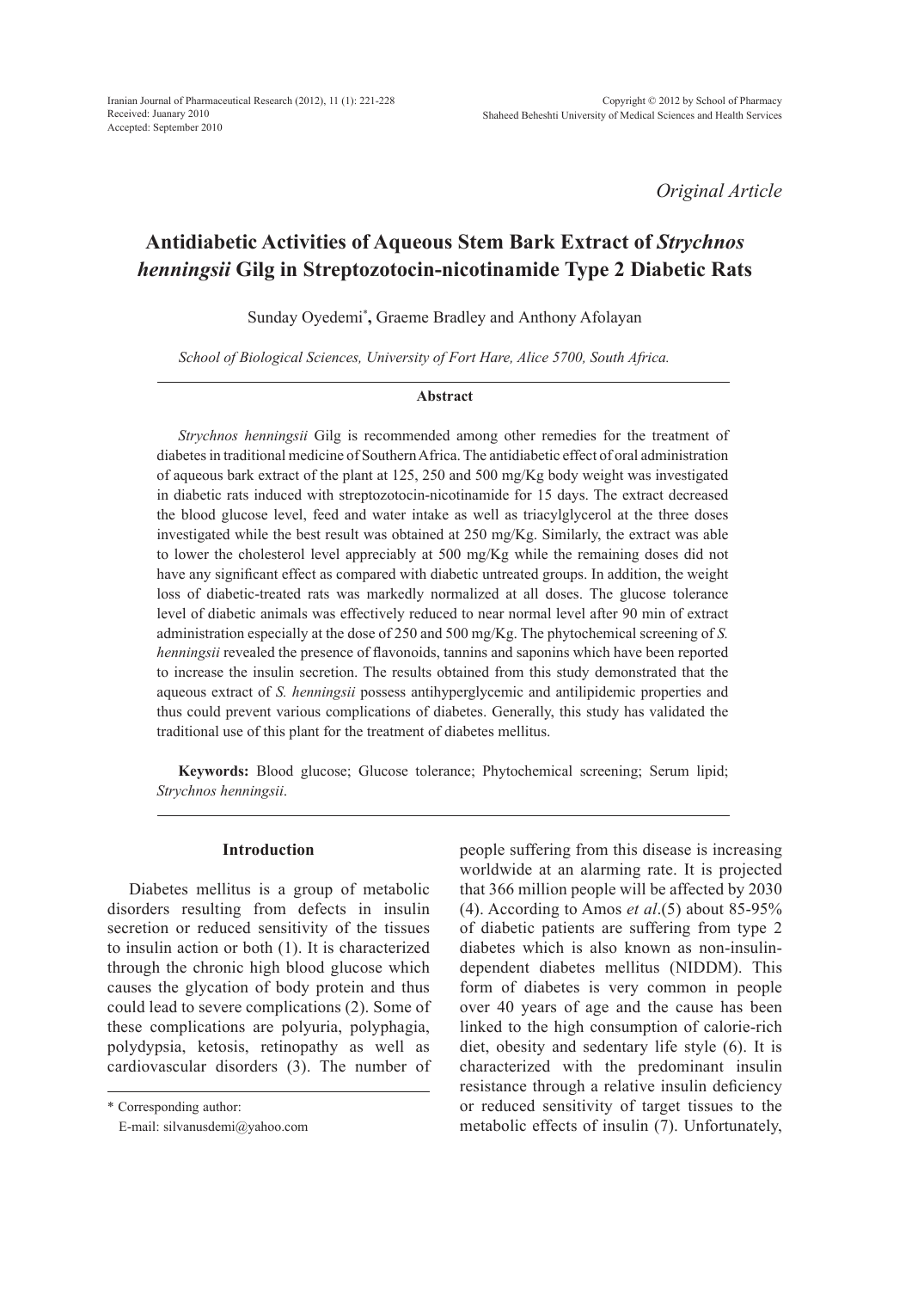Iranian Journal of Pharmaceutical Research (2012), 11 (1): 221-228 Received: Juanary 2010 Accepted: September 2010

*Original Article*

# **Antidiabetic Activities of Aqueous Stem Bark Extract of** *Strychnos henningsii* **Gilg in Streptozotocin-nicotinamide Type 2 Diabetic Rats**

Sunday Oyedemi\* **,** Graeme Bradley and Anthony Afolayan

*School of Biological Sciences, University of Fort Hare, Alice 5700, South Africa.*

#### **Abstract**

*Strychnos henningsii* Gilg is recommended among other remedies for the treatment of diabetes in traditional medicine of Southern Africa. The antidiabetic effect of oral administration of aqueous bark extract of the plant at 125, 250 and 500 mg/Kg body weight was investigated in diabetic rats induced with streptozotocin-nicotinamide for 15 days. The extract decreased the blood glucose level, feed and water intake as well as triacylglycerol at the three doses investigated while the best result was obtained at 250 mg/Kg. Similarly, the extract was able to lower the cholesterol level appreciably at 500 mg/Kg while the remaining doses did not have any significant effect as compared with diabetic untreated groups. In addition, the weight loss of diabetic-treated rats was markedly normalized at all doses. The glucose tolerance level of diabetic animals was effectively reduced to near normal level after 90 min of extract administration especially at the dose of 250 and 500 mg/Kg. The phytochemical screening of *S. henningsii* revealed the presence of flavonoids, tannins and saponins which have been reported to increase the insulin secretion. The results obtained from this study demonstrated that the aqueous extract of *S. henningsii* possess antihyperglycemic and antilipidemic properties and thus could prevent various complications of diabetes. Generally, this study has validated the traditional use of this plant for the treatment of diabetes mellitus.

**Keywords:** Blood glucose; Glucose tolerance; Phytochemical screening; Serum lipid; *Strychnos henningsii*.

#### **Introduction**

Diabetes mellitus is a group of metabolic disorders resulting from defects in insulin secretion or reduced sensitivity of the tissues to insulin action or both (1). It is characterized through the chronic high blood glucose which causes the glycation of body protein and thus could lead to severe complications (2). Some of these complications are polyuria, polyphagia, polydypsia, ketosis, retinopathy as well as cardiovascular disorders (3). The number of

\* Corresponding author:

E-mail: silvanusdemi@yahoo.com

people suffering from this disease is increasing worldwide at an alarming rate. It is projected that 366 million people will be affected by 2030 (4). According to Amos *et al*.(5) about 85-95% of diabetic patients are suffering from type 2 diabetes which is also known as non-insulindependent diabetes mellitus (NIDDM). This form of diabetes is very common in people over 40 years of age and the cause has been linked to the high consumption of calorie-rich diet, obesity and sedentary life style (6). It is characterized with the predominant insulin resistance through a relative insulin deficiency or reduced sensitivity of target tissues to the metabolic effects of insulin (7). Unfortunately,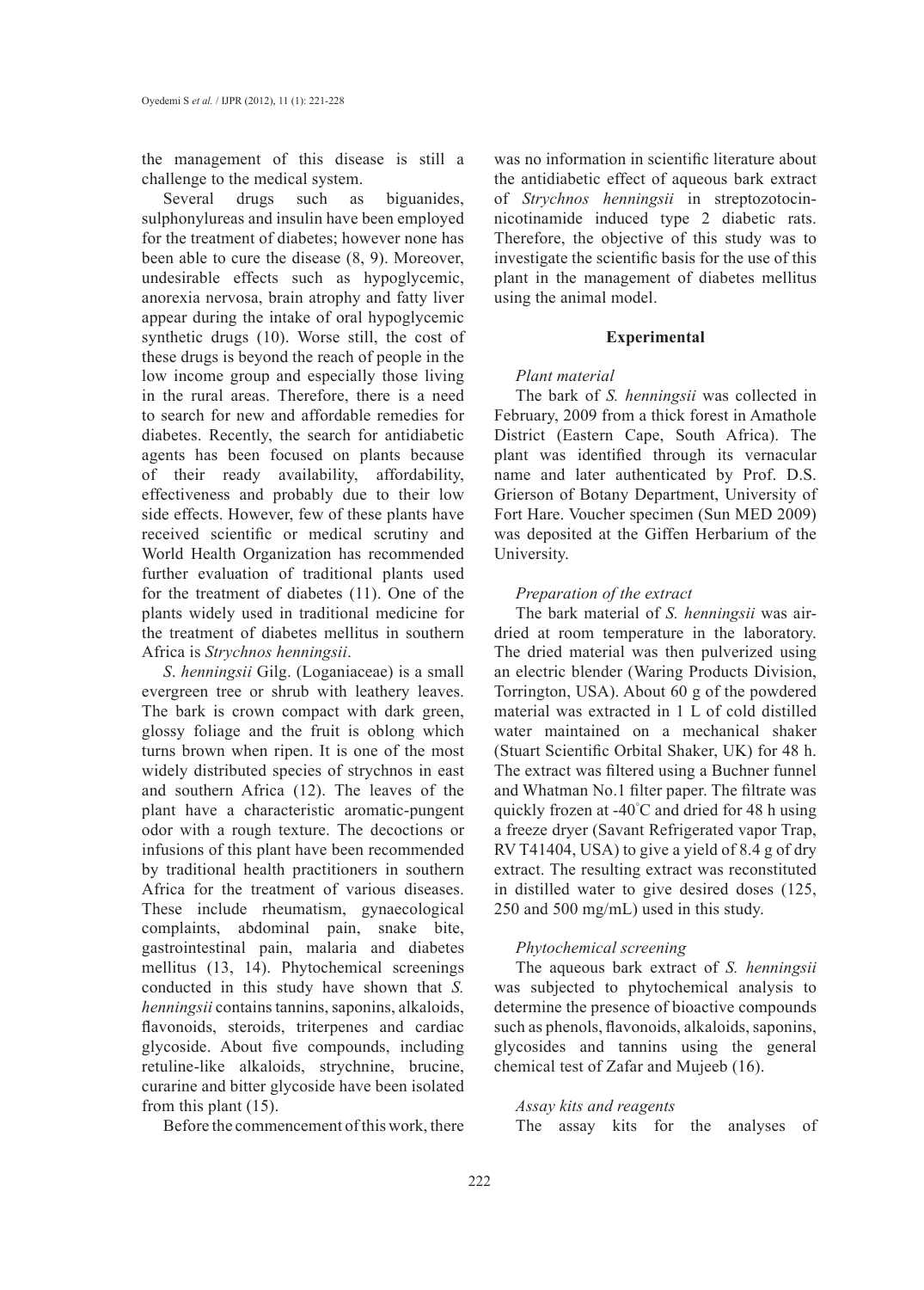the management of this disease is still a challenge to the medical system.

Several drugs such as biguanides, sulphonylureas and insulin have been employed for the treatment of diabetes; however none has been able to cure the disease (8, 9). Moreover, undesirable effects such as hypoglycemic, anorexia nervosa, brain atrophy and fatty liver appear during the intake of oral hypoglycemic synthetic drugs (10). Worse still, the cost of these drugs is beyond the reach of people in the low income group and especially those living in the rural areas. Therefore, there is a need to search for new and affordable remedies for diabetes. Recently, the search for antidiabetic agents has been focused on plants because of their ready availability, affordability, effectiveness and probably due to their low side effects. However, few of these plants have received scientific or medical scrutiny and World Health Organization has recommended further evaluation of traditional plants used for the treatment of diabetes (11). One of the plants widely used in traditional medicine for the treatment of diabetes mellitus in southern Africa is *Strychnos henningsii*.

*S*. *henningsii* Gilg. (Loganiaceae) is a small evergreen tree or shrub with leathery leaves. The bark is crown compact with dark green, glossy foliage and the fruit is oblong which turns brown when ripen. It is one of the most widely distributed species of strychnos in east and southern Africa (12). The leaves of the plant have a characteristic aromatic-pungent odor with a rough texture. The decoctions or infusions of this plant have been recommended by traditional health practitioners in southern Africa for the treatment of various diseases. These include rheumatism, gynaecological complaints, abdominal pain, snake bite, gastrointestinal pain, malaria and diabetes mellitus (13, 14). Phytochemical screenings conducted in this study have shown that *S. henningsii* contains tannins, saponins, alkaloids, flavonoids, steroids, triterpenes and cardiac glycoside. About five compounds, including retuline-like alkaloids, strychnine, brucine, curarine and bitter glycoside have been isolated from this plant (15).

Before the commencement of this work, there

was no information in scientific literature about the antidiabetic effect of aqueous bark extract of *Strychnos henningsii* in streptozotocinnicotinamide induced type 2 diabetic rats. Therefore, the objective of this study was to investigate the scientific basis for the use of this plant in the management of diabetes mellitus using the animal model.

#### **Experimental**

## *Plant material*

The bark of *S. henningsii* was collected in February, 2009 from a thick forest in Amathole District (Eastern Cape, South Africa). The plant was identified through its vernacular name and later authenticated by Prof. D.S. Grierson of Botany Department, University of Fort Hare. Voucher specimen (Sun MED 2009) was deposited at the Giffen Herbarium of the University.

#### *Preparation of the extract*

The bark material of *S. henningsii* was airdried at room temperature in the laboratory. The dried material was then pulverized using an electric blender (Waring Products Division, Torrington, USA). About 60 g of the powdered material was extracted in 1 L of cold distilled water maintained on a mechanical shaker (Stuart Scientific Orbital Shaker, UK) for 48 h. The extract was filtered using a Buchner funnel and Whatman No.1 filter paper. The filtrate was quickly frozen at -40° C and dried for 48 h using a freeze dryer (Savant Refrigerated vapor Trap, RV T41404, USA) to give a yield of 8.4 g of dry extract. The resulting extract was reconstituted in distilled water to give desired doses (125, 250 and 500 mg/mL) used in this study.

## *Phytochemical screening*

The aqueous bark extract of *S. henningsii*  was subjected to phytochemical analysis to determine the presence of bioactive compounds such as phenols, flavonoids, alkaloids, saponins, glycosides and tannins using the general chemical test of Zafar and Mujeeb (16).

## *Assay kits and reagents*

The assay kits for the analyses of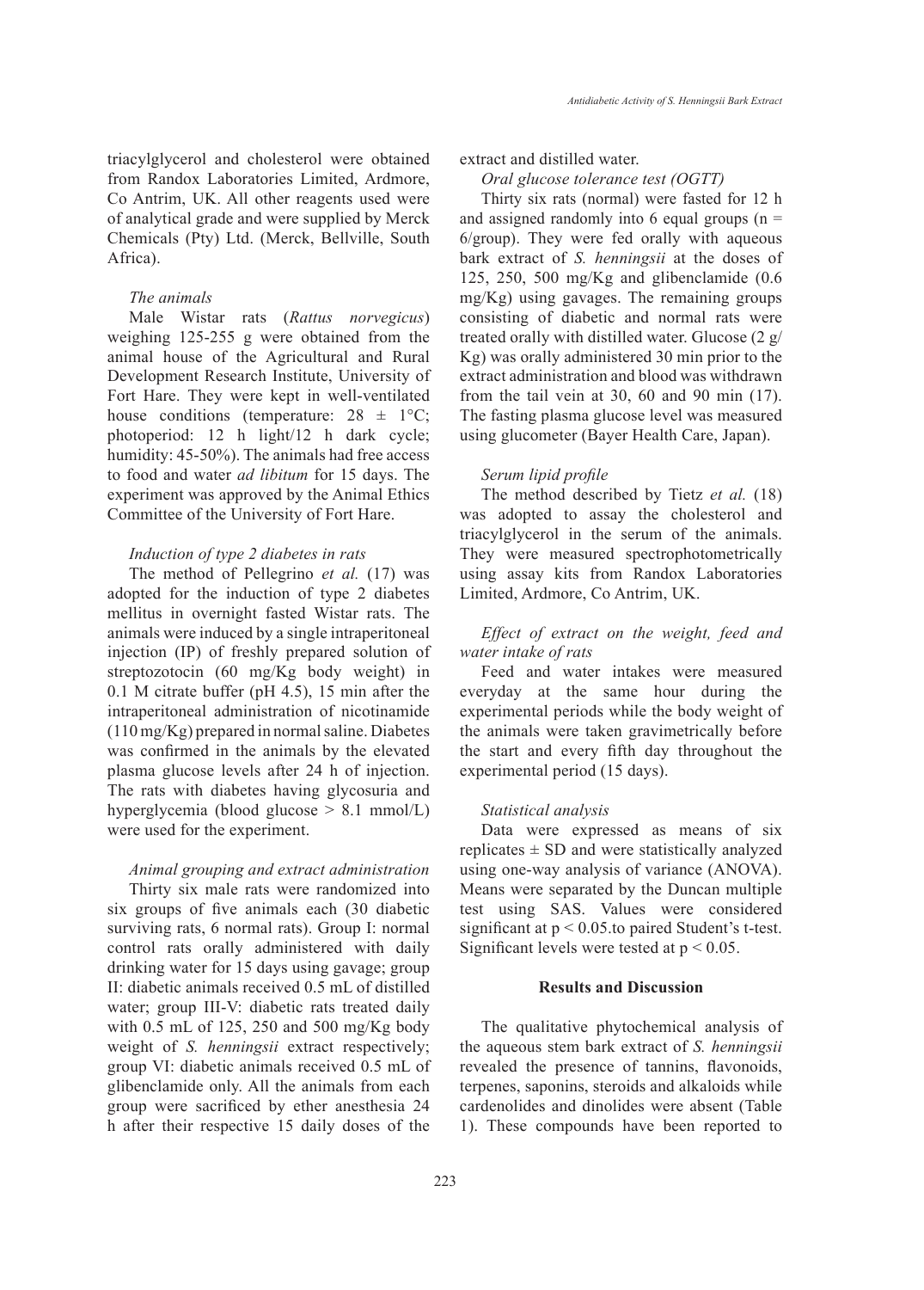triacylglycerol and cholesterol were obtained from Randox Laboratories Limited, Ardmore, Co Antrim, UK. All other reagents used were of analytical grade and were supplied by Merck Chemicals (Pty) Ltd. (Merck, Bellville, South Africa).

## *The animals*

Male Wistar rats (*Rattus norvegicus*) weighing 125-255 g were obtained from the animal house of the Agricultural and Rural Development Research Institute, University of Fort Hare. They were kept in well-ventilated house conditions (temperature:  $28 \pm 1$ °C; photoperiod: 12 h light/12 h dark cycle; humidity: 45-50%). The animals had free access to food and water *ad libitum* for 15 days. The experiment was approved by the Animal Ethics Committee of the University of Fort Hare.

## *Induction of type 2 diabetes in rats*

The method of Pellegrino *et al.* (17) was adopted for the induction of type 2 diabetes mellitus in overnight fasted Wistar rats. The animals were induced by a single intraperitoneal injection (IP) of freshly prepared solution of streptozotocin (60 mg/Kg body weight) in 0.1 M citrate buffer (pH 4.5), 15 min after the intraperitoneal administration of nicotinamide (110 mg/Kg) prepared in normal saline. Diabetes was confirmed in the animals by the elevated plasma glucose levels after 24 h of injection. The rats with diabetes having glycosuria and hyperglycemia (blood glucose > 8.1 mmol/L) were used for the experiment.

## *Animal grouping and extract administration*

Thirty six male rats were randomized into six groups of five animals each (30 diabetic surviving rats, 6 normal rats). Group I: normal control rats orally administered with daily drinking water for 15 days using gavage; group II: diabetic animals received 0.5 mL of distilled water; group III-V: diabetic rats treated daily with 0.5 mL of 125, 250 and 500 mg/Kg body weight of *S. henningsii* extract respectively; group VI: diabetic animals received 0.5 mL of glibenclamide only. All the animals from each group were sacrificed by ether anesthesia 24 h after their respective 15 daily doses of the

# extract and distilled water.

# *Oral glucose tolerance test (OGTT)*

Thirty six rats (normal) were fasted for 12 h and assigned randomly into 6 equal groups  $(n =$ 6/group). They were fed orally with aqueous bark extract of *S. henningsii* at the doses of 125, 250, 500 mg/Kg and glibenclamide (0.6 mg/Kg) using gavages. The remaining groups consisting of diabetic and normal rats were treated orally with distilled water. Glucose (2 g/ Kg) was orally administered 30 min prior to the extract administration and blood was withdrawn from the tail vein at 30, 60 and 90 min (17). The fasting plasma glucose level was measured using glucometer (Bayer Health Care, Japan).

#### *Serum lipid profile*

The method described by Tietz *et al.* (18) was adopted to assay the cholesterol and triacylglycerol in the serum of the animals. They were measured spectrophotometrically using assay kits from Randox Laboratories Limited, Ardmore, Co Antrim, UK.

# *Effect of extract on the weight, feed and water intake of rats*

Feed and water intakes were measured everyday at the same hour during the experimental periods while the body weight of the animals were taken gravimetrically before the start and every fifth day throughout the experimental period (15 days).

#### *Statistical analysis*

Data were expressed as means of six replicates  $\pm$  SD and were statistically analyzed using one-way analysis of variance (ANOVA). Means were separated by the Duncan multiple test using SAS. Values were considered significant at  $p < 0.05$  to paired Student's t-test. Significant levels were tested at  $p < 0.05$ .

# **Results and Discussion**

The qualitative phytochemical analysis of the aqueous stem bark extract of *S. henningsii* revealed the presence of tannins, flavonoids, terpenes, saponins, steroids and alkaloids while cardenolides and dinolides were absent (Table 1). These compounds have been reported to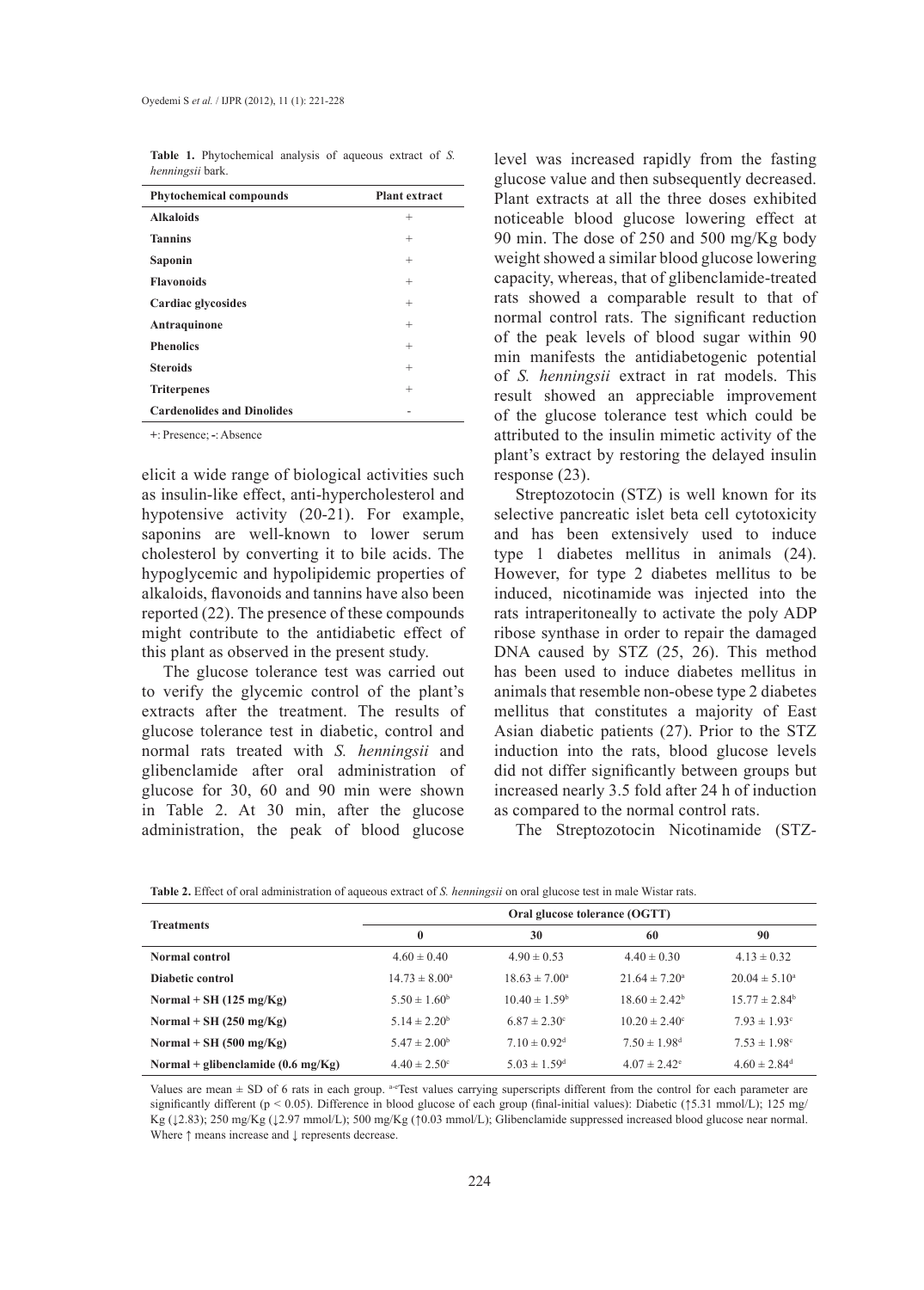**Table 1.** Phytochemical analysis of aqueous extract of *S. henningsii* bark.

| <b>Phytochemical compounds</b>    | <b>Plant extract</b> |
|-----------------------------------|----------------------|
| <b>Alkaloids</b>                  | $^+$                 |
| <b>Tannins</b>                    | $^{+}$               |
| Saponin                           | $^{+}$               |
| <b>Flavonoids</b>                 | $^{+}$               |
| Cardiac glycosides                | $^{+}$               |
| Antraquinone                      | $^{+}$               |
| <b>Phenolics</b>                  | $^{+}$               |
| <b>Steroids</b>                   | $^{+}$               |
| <b>Triterpenes</b>                | $^{+}$               |
| <b>Cardenolides and Dinolides</b> |                      |

**+**: Presence; **-**: Absence

elicit a wide range of biological activities such as insulin-like effect, anti-hypercholesterol and hypotensive activity (20-21). For example, saponins are well-known to lower serum cholesterol by converting it to bile acids. The hypoglycemic and hypolipidemic properties of alkaloids, flavonoids and tannins have also been reported (22). The presence of these compounds might contribute to the antidiabetic effect of this plant as observed in the present study.

The glucose tolerance test was carried out to verify the glycemic control of the plant's extracts after the treatment. The results of glucose tolerance test in diabetic, control and normal rats treated with *S. henningsii* and glibenclamide after oral administration of glucose for 30, 60 and 90 min were shown in Table 2. At 30 min, after the glucose administration, the peak of blood glucose

level was increased rapidly from the fasting glucose value and then subsequently decreased. Plant extracts at all the three doses exhibited noticeable blood glucose lowering effect at 90 min. The dose of 250 and 500 mg/Kg body weight showed a similar blood glucose lowering capacity, whereas, that of glibenclamide-treated rats showed a comparable result to that of normal control rats. The significant reduction of the peak levels of blood sugar within 90 min manifests the antidiabetogenic potential of *S. henningsii* extract in rat models. This result showed an appreciable improvement of the glucose tolerance test which could be attributed to the insulin mimetic activity of the plant's extract by restoring the delayed insulin response (23).

Streptozotocin (STZ) is well known for its selective pancreatic islet beta cell cytotoxicity and has been extensively used to induce type 1 diabetes mellitus in animals (24). However, for type 2 diabetes mellitus to be induced, nicotinamide was injected into the rats intraperitoneally to activate the poly ADP ribose synthase in order to repair the damaged DNA caused by STZ (25, 26). This method has been used to induce diabetes mellitus in animals that resemble non-obese type 2 diabetes mellitus that constitutes a majority of East Asian diabetic patients (27). Prior to the STZ induction into the rats, blood glucose levels did not differ significantly between groups but increased nearly 3.5 fold after 24 h of induction as compared to the normal control rats.

The Streptozotocin Nicotinamide (STZ-

| <b>Treatments</b>                            | Oral glucose tolerance (OGTT)                        |                                                     |                              |                              |  |
|----------------------------------------------|------------------------------------------------------|-----------------------------------------------------|------------------------------|------------------------------|--|
|                                              | $\mathbf{0}$                                         | 30                                                  | 60                           | 90                           |  |
| Normal control                               | $4.60 \pm 0.40$                                      | $4.90 \pm 0.53$                                     | $4.40 \pm 0.30$              | $4.13 \pm 0.32$              |  |
| Diabetic control                             | $14.73 \pm 8.00^{\circ}$<br>$18.63 \pm 7.00^{\circ}$ |                                                     | $21.64 \pm 7.20^{\circ}$     | $20.04 \pm 5.10^{\circ}$     |  |
| Normal + SH $(125 \text{ mg/Kg})$            | $5.50 \pm 1.60^b$                                    | $10.40 \pm 1.59^{\circ}$                            |                              | $15.77 \pm 2.84^b$           |  |
| Normal + SH $(250 \text{ mg/Kg})$            | $5.14 \pm 2.20^b$                                    | $6.87 \pm 2.30^{\circ}$<br>$10.20 \pm 2.40^{\circ}$ |                              | $7.93 \pm 1.93$ <sup>c</sup> |  |
| Normal + SH $(500 \text{ mg/Kg})$            | $5.47 \pm 2.00^{\circ}$                              | $7.10 \pm 0.92$ <sup>d</sup>                        | $7.50 \pm 1.98$ <sup>d</sup> | $7.53 \pm 1.98$ <sup>c</sup> |  |
| Normal + glibenclamide $(0.6 \text{ mg/Kg})$ | $4.40 \pm 2.50^{\circ}$                              | $5.03 \pm 1.59$ <sup>d</sup>                        | $4.07 \pm 2.42$ <sup>e</sup> | $4.60 \pm 2.84$ <sup>d</sup> |  |

**Table 2.** Effect of oral administration of aqueous extract of *S. henningsii* on oral glucose test in male Wistar rats.

Values are mean  $\pm$  SD of 6 rats in each group. <sup>a-eT</sup>est values carrying superscripts different from the control for each parameter are significantly different (p < 0.05). Difference in blood glucose of each group (final-initial values): Diabetic ( $\frac{5.31 \text{ mmol/L}}{1}$ ; 125 mg/ Kg (↓2.83); 250 mg/Kg (↓2.97 mmol/L); 500 mg/Kg (↑0.03 mmol/L); Glibenclamide suppressed increased blood glucose near normal. Where ↑ means increase and ↓ represents decrease.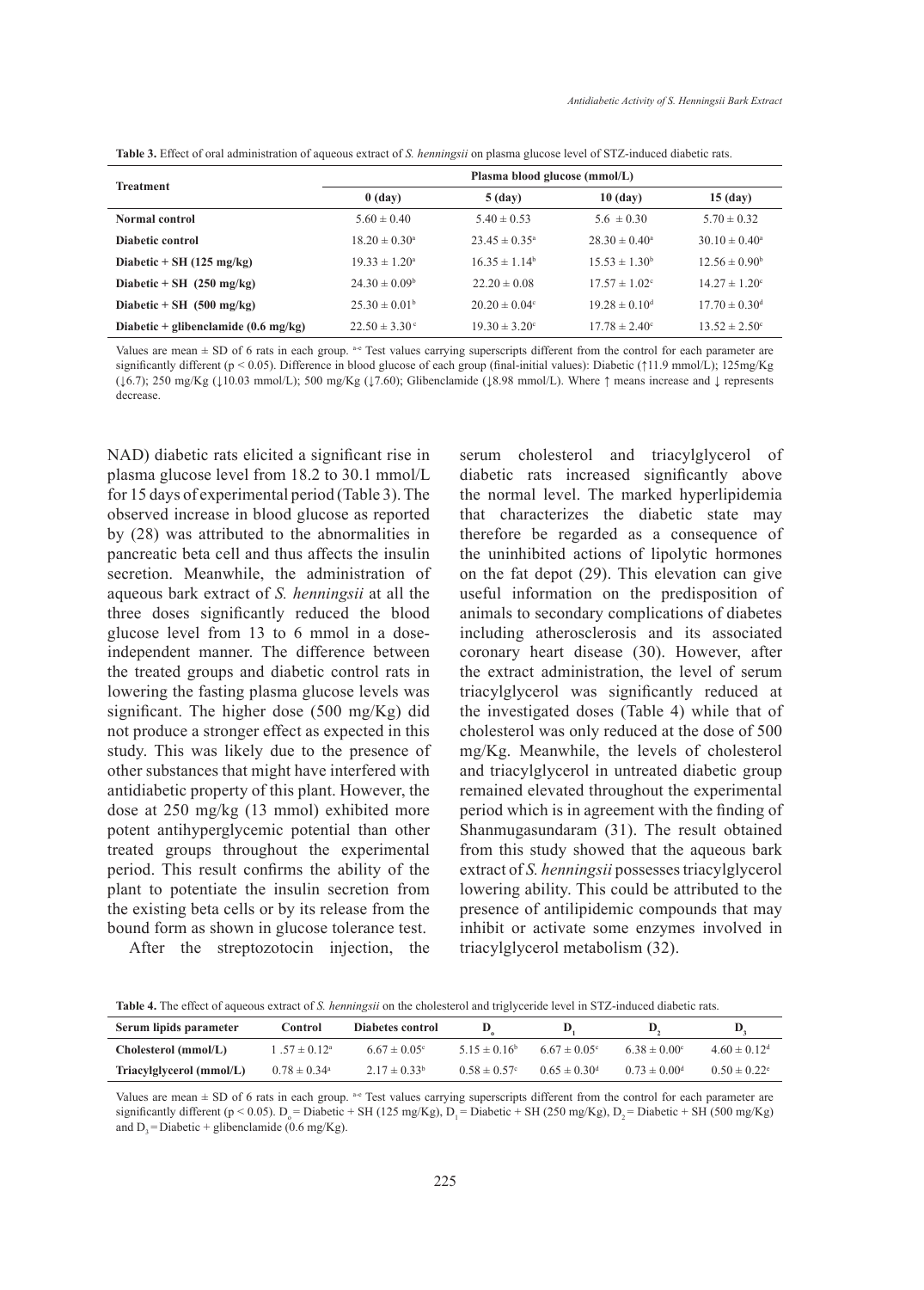**Table 3.** Effect of oral administration of aqueous extract of *S. henningsii* on plasma glucose level of STZ-induced diabetic rats.

| <b>Treatment</b>                               | Plasma blood glucose (mmol/L) |                                                           |                               |                               |  |
|------------------------------------------------|-------------------------------|-----------------------------------------------------------|-------------------------------|-------------------------------|--|
|                                                | $0$ (day)                     | $5$ (day)                                                 | $10$ (day)                    | $15$ (day)                    |  |
| Normal control                                 | $5.60 \pm 0.40$               | $5.40 \pm 0.53$<br>$5.6 \pm 0.30$                         |                               | $5.70 \pm 0.32$               |  |
| Diabetic control                               | $18.20 \pm 0.30^{\circ}$      | $23.45 \pm 0.35^{\circ}$                                  | $28.30 \pm 0.40^{\circ}$      | $30.10 \pm 0.40^{\circ}$      |  |
| Diabetic + SH $(125 \text{ mg/kg})$            | $19.33 \pm 1.20^{\circ}$      | $16.35 \pm 1.14^b$                                        | $15.53 \pm 1.30^b$            | $12.56 \pm 0.90^b$            |  |
| Diabetic + SH $(250 \text{ mg/kg})$            | $24.30 \pm 0.09^b$            | $22.20 \pm 0.08$                                          | $17.57 \pm 1.02$ <sup>c</sup> | $14.27 \pm 1.20^{\circ}$      |  |
| Diabetic + SH $(500 \text{ mg/kg})$            | $25.30 \pm 0.01^{\circ}$      | $19.28 \pm 0.10^{\circ}$<br>$20.20 \pm 0.04$ <sup>c</sup> |                               | $17.70 \pm 0.30$ <sup>d</sup> |  |
| Diabetic + glibenclamide $(0.6 \text{ mg/kg})$ | $22.50 \pm 3.30^{\circ}$      | $19.30 \pm 3.20^{\circ}$                                  | $17.78 \pm 2.40^{\circ}$      | $13.52 \pm 2.50^{\circ}$      |  |

Values are mean  $\pm$  SD of 6 rats in each group. <sup>a-e</sup> Test values carrying superscripts different from the control for each parameter are significantly different (p < 0.05). Difference in blood glucose of each group (final-initial values): Diabetic (↑11.9 mmol/L); 125mg/Kg (↓6.7); 250 mg/Kg (↓10.03 mmol/L); 500 mg/Kg (↓7.60); Glibenclamide (↓8.98 mmol/L). Where ↑ means increase and ↓ represents decrease.

NAD) diabetic rats elicited a significant rise in plasma glucose level from 18.2 to 30.1 mmol/L for 15 days of experimental period (Table 3). The observed increase in blood glucose as reported by (28) was attributed to the abnormalities in pancreatic beta cell and thus affects the insulin secretion. Meanwhile, the administration of aqueous bark extract of *S. henningsii* at all the three doses significantly reduced the blood glucose level from 13 to 6 mmol in a doseindependent manner. The difference between the treated groups and diabetic control rats in lowering the fasting plasma glucose levels was significant. The higher dose (500 mg/Kg) did not produce a stronger effect as expected in this study. This was likely due to the presence of other substances that might have interfered with antidiabetic property of this plant. However, the dose at 250 mg/kg (13 mmol) exhibited more potent antihyperglycemic potential than other treated groups throughout the experimental period. This result confirms the ability of the plant to potentiate the insulin secretion from the existing beta cells or by its release from the bound form as shown in glucose tolerance test.

After the streptozotocin injection, the

serum cholesterol and triacylglycerol of diabetic rats increased significantly above the normal level. The marked hyperlipidemia that characterizes the diabetic state may therefore be regarded as a consequence of the uninhibited actions of lipolytic hormones on the fat depot (29). This elevation can give useful information on the predisposition of animals to secondary complications of diabetes including atherosclerosis and its associated coronary heart disease (30). However, after the extract administration, the level of serum triacylglycerol was significantly reduced at the investigated doses (Table 4) while that of cholesterol was only reduced at the dose of 500 mg/Kg. Meanwhile, the levels of cholesterol and triacylglycerol in untreated diabetic group remained elevated throughout the experimental period which is in agreement with the finding of Shanmugasundaram (31). The result obtained from this study showed that the aqueous bark extract of *S. henningsii* possesses triacylglycerol lowering ability. This could be attributed to the presence of antilipidemic compounds that may inhibit or activate some enzymes involved in triacylglycerol metabolism (32).

**Table 4.** The effect of aqueous extract of *S. henningsii* on the cholesterol and triglyceride level in STZ-induced diabetic rats.

| Serum lipids parameter   | Control                 | Diabetes control        |                   |                              |                         |                              |
|--------------------------|-------------------------|-------------------------|-------------------|------------------------------|-------------------------|------------------------------|
| Cholesterol (mmol/L)     | $1.57 \pm 0.12^a$       | $6.67 \pm 0.05^{\circ}$ | $5.15 \pm 0.16^b$ | $6.67 \pm 0.05$ <sup>c</sup> | $6.38 \pm 0.00^{\circ}$ | $4.60 \pm 0.12$ <sup>d</sup> |
| Triacylglycerol (mmol/L) | $0.78 \pm 0.34^{\circ}$ | $2.17 \pm 0.33^b$       | $0.58 \pm 0.57$ ° | $0.65 \pm 0.30$ <sup>d</sup> | $0.73 \pm 0.00^{\circ}$ | $0.50 \pm 0.22^{\circ}$      |

Values are mean  $\pm$  SD of 6 rats in each group.  $\ast$  Test values carrying superscripts different from the control for each parameter are significantly different (p < 0.05). D<sub>o</sub> = Diabetic + SH (125 mg/Kg), D<sub>1</sub> = Diabetic + SH (250 mg/Kg), D<sub>2</sub> = Diabetic + SH (500 mg/Kg) and  $D_2$  = Diabetic + glibenclamide (0.6 mg/Kg).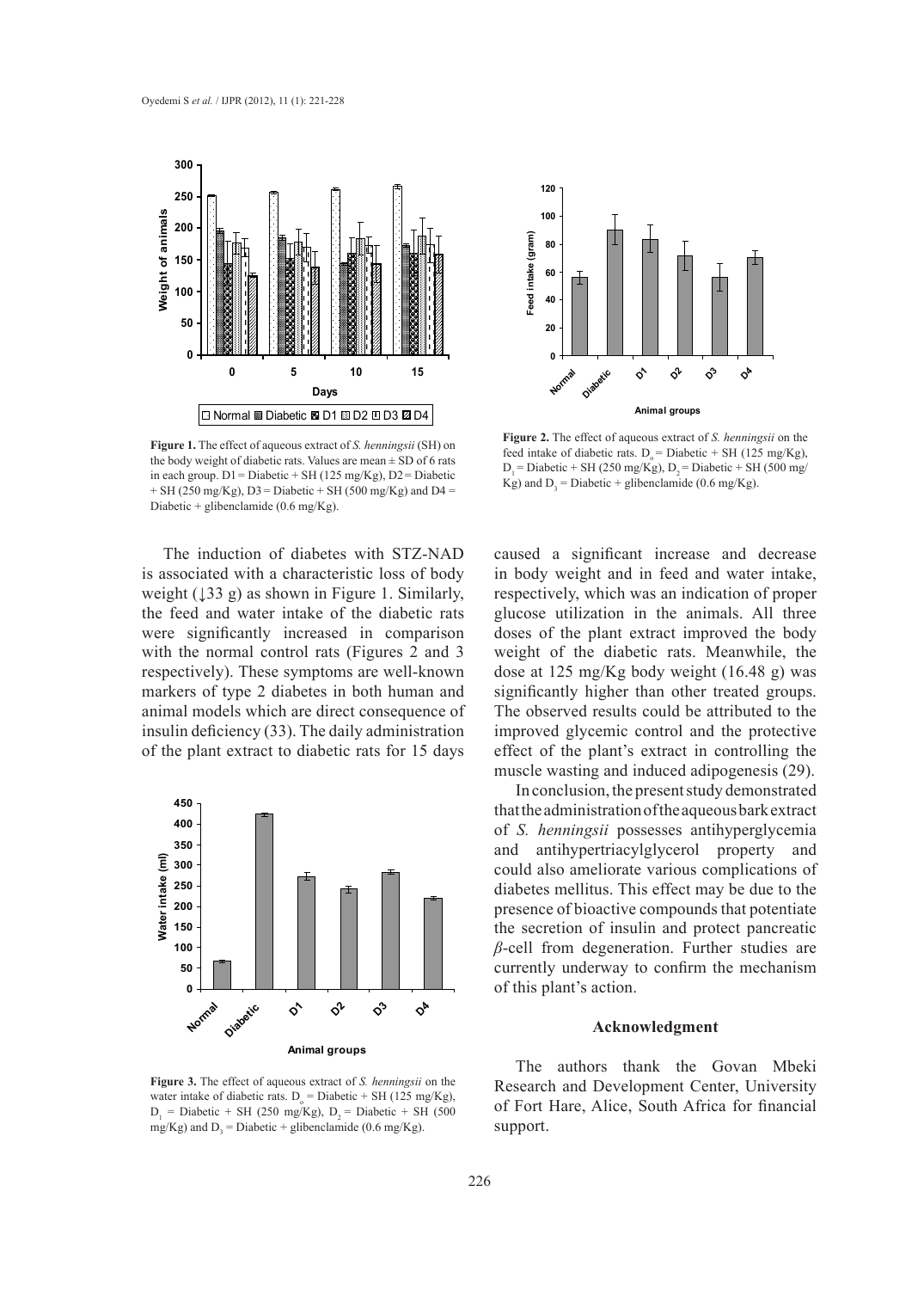

**Figure 1.** The effect of aqueous extract of *S. henningsii* (SH) on the body weight of diabetic rats. Values are mean  $\pm$  SD of 6 rats in each group.  $D1 = Diabetic + SH (125 mg/Kg)$ ,  $D2 = Diabetic$  $+$  SH (250 mg/Kg), D3 = Diabetic  $+$  SH (500 mg/Kg) and D4 = Diabetic + glibenclamide (0.6 mg/Kg).

The induction of diabetes with STZ-NAD is associated with a characteristic loss of body weight  $(133 \text{ g})$  as shown in Figure 1. Similarly, the feed and water intake of the diabetic rats were significantly increased in comparison with the normal control rats (Figures 2 and 3 respectively). These symptoms are well-known markers of type 2 diabetes in both human and animal models which are direct consequence of insulin deficiency (33). The daily administration of the plant extract to diabetic rats for 15 days



**Figure 3.** The effect of aqueous extract of *S. henningsii* on the water intake of diabetic rats.  $D_0 = \text{Diabetic} + \text{SH} (125 \text{ mg/Kg})$ ,  $D_1$  = Diabetic + SH (250 mg/Kg),  $D_2$  = Diabetic + SH (500 mg/Kg) and  $D_3$  = Diabetic + glibenclamide (0.6 mg/Kg).



**Figure 2.** The effect of aqueous extract of *S. henningsii* on the feed intake of diabetic rats.  $D_s = Diabetic + SH (125 mg/Kg)$ ,  $D_1$  = Diabetic + SH (250 mg/Kg),  $D_2$  = Diabetic + SH (500 mg/ Kg) and  $D_3$  = Diabetic + glibenclamide (0.6 mg/Kg).

caused a significant increase and decrease in body weight and in feed and water intake, respectively, which was an indication of proper glucose utilization in the animals. All three doses of the plant extract improved the body weight of the diabetic rats. Meanwhile, the dose at 125 mg/Kg body weight (16.48 g) was significantly higher than other treated groups. The observed results could be attributed to the improved glycemic control and the protective effect of the plant's extract in controlling the muscle wasting and induced adipogenesis (29).

In conclusion, the present study demonstrated that the administration of the aqueous bark extract of *S. henningsii* possesses antihyperglycemia and antihypertriacylglycerol property and could also ameliorate various complications of diabetes mellitus. This effect may be due to the presence of bioactive compounds that potentiate the secretion of insulin and protect pancreatic *β*-cell from degeneration. Further studies are currently underway to confirm the mechanism of this plant's action.

## **Acknowledgment**

The authors thank the Govan Mbeki Research and Development Center, University of Fort Hare, Alice, South Africa for financial support.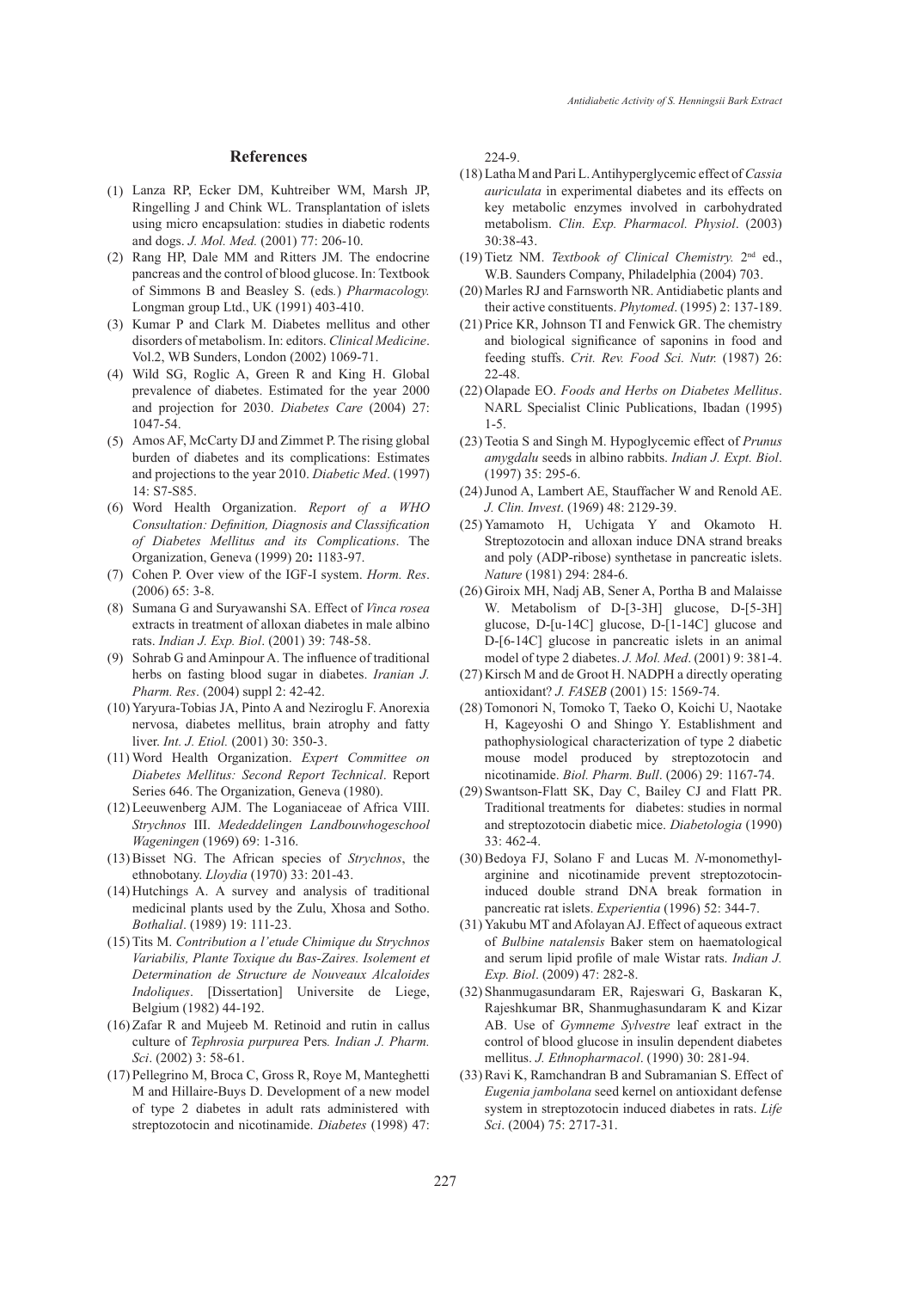#### **References**

- Lanza RP, Ecker DM, Kuhtreiber WM, Marsh JP, (1) Ringelling J and Chink WL. Transplantation of islets using micro encapsulation: studies in diabetic rodents and dogs. *J. Mol. Med.* (2001) 77: 206-10.
- (2) Rang HP, Dale MM and Ritters JM. The endocrine pancreas and the control of blood glucose. In: Textbook of Simmons B and Beasley S. (eds*.*) *Pharmacology.*  Longman group Ltd., UK (1991) 403-410.
- (3) Kumar P and Clark M. Diabetes mellitus and other disorders of metabolism. In: editors. *Clinical Medicine*. Vol.2, WB Sunders, London (2002) 1069-71.
- Wild SG, Roglic A, Green R and King H. Global (4) prevalence of diabetes. Estimated for the year 2000 and projection for 2030. *Diabetes Care* (2004) 27: 1047-54.
- Amos AF, McCarty DJ and Zimmet P. The rising global (5) burden of diabetes and its complications: Estimates and projections to the year 2010. *Diabetic Med*. (1997) 14: S7-S85.
- Word Health Organization. *Report of a WHO*  (6) *Consultation: Definition, Diagnosis and Classification of Diabetes Mellitus and its Complications*. The Organization, Geneva (1999) 20**:** 1183-97.
- Cohen P. Over view of the IGF-I system. *Horm. Res*. (7) (2006) 65: 3-8.
- (8) Sumana G and Suryawanshi SA. Effect of *Vinca rosea* extracts in treatment of alloxan diabetes in male albino rats. *Indian J. Exp. Biol*. (2001) 39: 748-58.
- Sohrab G and Aminpour A. The influence of traditional (9) herbs on fasting blood sugar in diabetes. *Iranian J. Pharm. Res*. (2004) suppl 2: 42-42.
- (10) Yaryura-Tobias JA, Pinto A and Neziroglu F. Anorexia nervosa, diabetes mellitus, brain atrophy and fatty liver. *Int. J. Etiol.* (2001) 30: 350-3.
- Word Health Organization. *Expert Committee on*  (11) *Diabetes Mellitus: Second Report Technical*. Report Series 646. The Organization, Geneva (1980).
- (12) Leeuwenberg AJM. The Loganiaceae of Africa VIII. *Strychnos* III. *Mededdelingen Landbouwhogeschool Wageningen* (1969) 69: 1-316.
- (13) Bisset NG. The African species of *Strychnos*, the ethnobotany. *Lloydia* (1970) 33: 201-43.
- $(14)$  Hutchings A. A survey and analysis of traditional medicinal plants used by the Zulu, Xhosa and Sotho. *Bothalial*. (1989) 19: 111-23.
- Tits M. *Contribution a l'etude Chimique du Strychnos*  (15) *Variabilis, Plante Toxique du Bas-Zaires. Isolement et Determination de Structure de Nouveaux Alcaloides Indoliques*. [Dissertation] Universite de Liege, Belgium (1982) 44-192.
- $(16)$  Zafar R and Mujeeb M. Retinoid and rutin in callus culture of *Tephrosia purpurea* Pers*. Indian J. Pharm. Sci*. (2002) 3: 58-61.
- (17) Pellegrino M, Broca C, Gross R, Roye M, Manteghetti M and Hillaire-Buys D. Development of a new model of type 2 diabetes in adult rats administered with streptozotocin and nicotinamide. *Diabetes* (1998) 47:

224-9.

- Latha M and Pari L. Antihyperglycemic effect of *Cassia*  (18) *auriculata* in experimental diabetes and its effects on key metabolic enzymes involved in carbohydrated metabolism. *Clin. Exp. Pharmacol. Physiol*. (2003) 30:38-43.
- (19) Tietz NM. *Textbook of Clinical Chemistry*. 2<sup>nd</sup> ed., W.B. Saunders Company, Philadelphia (2004) 703.
- (20) Marles RJ and Farnsworth NR. Antidiabetic plants and their active constituents. *Phytomed*. (1995) 2: 137-189.
- $(21)$  Price KR, Johnson TI and Fenwick GR. The chemistry and biological significance of saponins in food and feeding stuffs. *Crit. Rev. Food Sci. Nutr.* (1987) 26: 22-48.
- (22) Olapade EO. Foods and Herbs on Diabetes Mellitus. NARL Specialist Clinic Publications, Ibadan (1995) 1-5.
- (23) Teotia S and Singh M. Hypoglycemic effect of *Prunus amygdalu* seeds in albino rabbits. *Indian J. Expt. Biol*. (1997) 35: 295-6.
- (24) Junod A, Lambert AE, Stauffacher W and Renold AE. *J. Clin. Invest*. (1969) 48: 2129-39.
- $(25)$  Yamamoto H, Uchigata Y and Okamoto H. Streptozotocin and alloxan induce DNA strand breaks and poly (ADP-ribose) synthetase in pancreatic islets. *Nature* (1981) 294: 284-6.
- (26) Giroix MH, Nadj AB, Sener A, Portha B and Malaisse W. Metabolism of D-[3-3H] glucose, D-[5-3H] glucose, D-[u-14C] glucose, D-[1-14C] glucose and D-[6-14C] glucose in pancreatic islets in an animal model of type 2 diabetes. *J. Mol. Med*. (2001) 9: 381-4.
- $(27)$  Kirsch M and de Groot H. NADPH a directly operating antioxidant? *J. FASEB* (2001) 15: 1569-74.
- (28) Tomonori N, Tomoko T, Taeko O, Koichi U, Naotake H, Kageyoshi O and Shingo Y. Establishment and pathophysiological characterization of type 2 diabetic mouse model produced by streptozotocin and nicotinamide. *Biol. Pharm. Bull*. (2006) 29: 1167-74.
- (29) Swantson-Flatt SK, Day C, Bailey CJ and Flatt PR. Traditional treatments for diabetes: studies in normal and streptozotocin diabetic mice. *Diabetologia* (1990) 33: 462-4.
- (30) Bedoya FJ, Solano F and Lucas M. *N*-monomethylarginine and nicotinamide prevent streptozotocininduced double strand DNA break formation in pancreatic rat islets. *Experientia* (1996) 52: 344-7.
- (31) Yakubu MT and Afolayan AJ. Effect of aqueous extract of *Bulbine natalensis* Baker stem on haematological and serum lipid profile of male Wistar rats. *Indian J. Exp. Biol*. (2009) 47: 282-8.
- (32) Shanmugasundaram ER, Rajeswari G, Baskaran K, Rajeshkumar BR, Shanmughasundaram K and Kizar AB. Use of *Gymneme Sylvestre* leaf extract in the control of blood glucose in insulin dependent diabetes mellitus. *J. Ethnopharmacol*. (1990) 30: 281-94.
- (33) Ravi K, Ramchandran B and Subramanian S. Effect of *Eugenia jambolana* seed kernel on antioxidant defense system in streptozotocin induced diabetes in rats. *Life Sci*. (2004) 75: 2717-31.